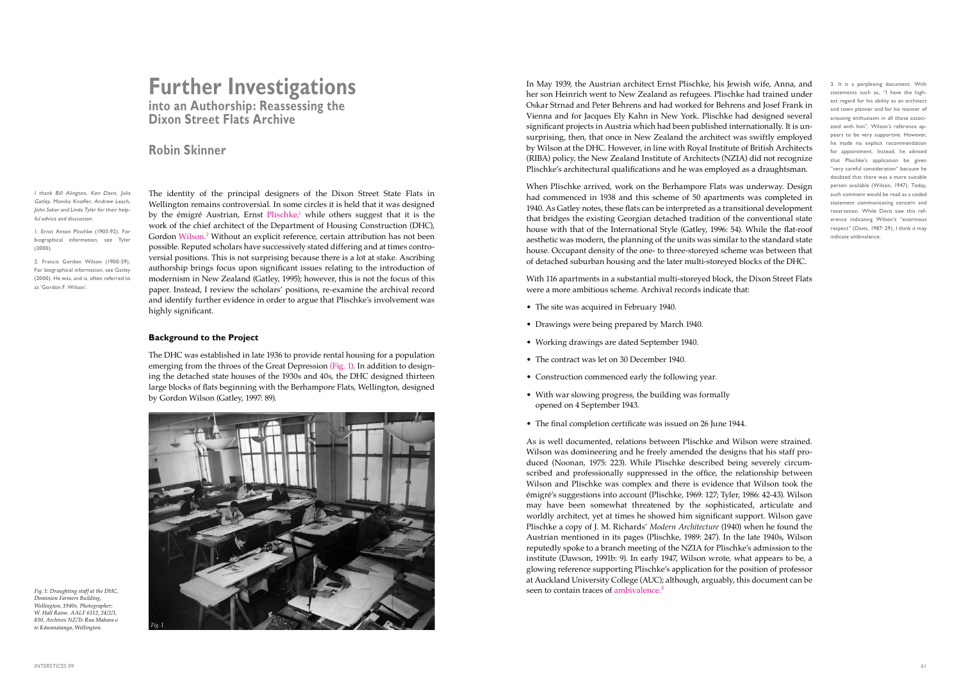In May 1939, the Austrian architect Ernst Plischke, his Jewish wife, Anna, and her son Heinrich went to New Zealand as refugees. Plischke had trained under Oskar Strnad and Peter Behrens and had worked for Behrens and Josef Frank in Vienna and for Jacques Ely Kahn in New York. Plischke had designed several significant projects in Austria which had been published internationally. It is unsurprising, then, that once in New Zealand the architect was swiftly employed by Wilson at the DHC. However, in line with Royal Institute of British Architects (RIBA) policy, the New Zealand Institute of Architects (NZIA) did not recognize Plischke's architectural qualifications and he was employed as a draughtsman.

As is well documented, relations between Plischke and Wilson were strained. Wilson was domineering and he freely amended the designs that his staff produced (Noonan, 1975: 223). While Plischke described being severely circumscribed and professionally suppressed in the office, the relationship between Wilson and Plischke was complex and there is evidence that Wilson took the émigré's suggestions into account (Plischke, 1969: 127; Tyler, 1986: 42-43). Wilson may have been somewhat threatened by the sophisticated, articulate and worldly architect, yet at times he showed him significant support. Wilson gave Plischke a copy of J. M. Richards' *Modern Architecture* (1940) when he found the Austrian mentioned in its pages (Plischke, 1989: 247). In the late 1940s, Wilson reputedly spoke to a branch meeting of the NZIA for Plischke's admission to the institute (Dawson, 1991b: 9). In early 1947, Wilson wrote, what appears to be, a glowing reference supporting Plischke's application for the position of professor at Auckland University College (AUC); although, arguably, this document can be seen to contain traces of ambivalence.<sup>3</sup>

When Plischke arrived, work on the Berhampore Flats was underway. Design had commenced in 1938 and this scheme of 50 apartments was completed in 1940. As Gatley notes, these flats can be interpreted as a transitional development that bridges the existing Georgian detached tradition of the conventional state house with that of the International Style (Gatley, 1996: 54). While the flat-roof aesthetic was modern, the planning of the units was similar to the standard state house. Occupant density of the one- to three-storeyed scheme was between that of detached suburban housing and the later multi-storeyed blocks of the DHC.

With 116 apartments in a substantial multi-storeyed block, the Dixon Street Flats were a more ambitious scheme. Archival records indicate that:

- The site was acquired in February 1940.
- Drawings were being prepared by March 1940.
- Working drawings are dated September 1940.
- The contract was let on 30 December 1940.
- Construction commenced early the following year.
- With war slowing progress, the building was formally opened on 4 September 1943.
- The final completion certificate was issued on 26 June 1944.

3. It is a perplexing document. With statements such as, "I have the highest regard for his ability as an architect and town planner and for his manner of arousing enthusiasm in all those associated with him", Wilson's reference appears to be very supportive. However, he made no explicit recommendation for appointment. Instead, he advised that Plischke's application be given "very careful consideration" because he doubted that there was a more suitable person available (Wilson, 1947). Today, such comment would be read as a coded statement communicating concern and reservation. While Davis saw this reference indicating Wilson's "enormous respect" (Davis, 1987: 29), I think it may indicate ambivalence.

# **Further Investigations into an Authorship: Reassessing the**

**Dixon Street Flats Archive**

## **Robin Skinner**

The identity of the principal designers of the Dixon Street State Flats in Wellington remains controversial. In some circles it is held that it was designed by the émigré Austrian, Ernst Plischke,<sup>1</sup> while others suggest that it is the work of the chief architect of the Department of Housing Construction (DHC), Gordon Wilson.2 Without an explicit reference, certain attribution has not been possible. Reputed scholars have successively stated differing and at times controversial positions. This is not surprising because there is a lot at stake. Ascribing authorship brings focus upon significant issues relating to the introduction of modernism in New Zealand (Gatley, 1995); however, this is not the focus of this paper. Instead, I review the scholars' positions, re-examine the archival record and identify further evidence in order to argue that Plischke's involvement was highly significant.

#### **Background to the Project**

The DHC was established in late 1936 to provide rental housing for a population emerging from the throes of the Great Depression (Fig. 1). In addition to designing the detached state houses of the 1930s and 40s, the DHC designed thirteen large blocks of flats beginning with the Berhampore Flats, Wellington, designed by Gordon Wilson (Gatley, 1997: 89).

I thank Bill Alington, Ken Davis, Julia Gatley, Monika Knofler, Andrew Leach, John Saker and Linda Tyler for their helpful advice and discussion.

1. Ernst Anton Plischke (1903-92). For biographical information, see Tyler (2000).

2. Francis Gordon Wilson (1900-59). For biographical information, see Gatley (2000). He was, and is, often referred to as 'Gordon F. Wilson'.



*Fig. 1: Draughting staff at the DHC, Dominion Farmers Building, Wellington, 1940s. Photographer: W. Hall Raine. AALF 6112, 24/2/1, 830, Archives NZ/Te Rua Mahara o te Kāwanatanga, Wellington.*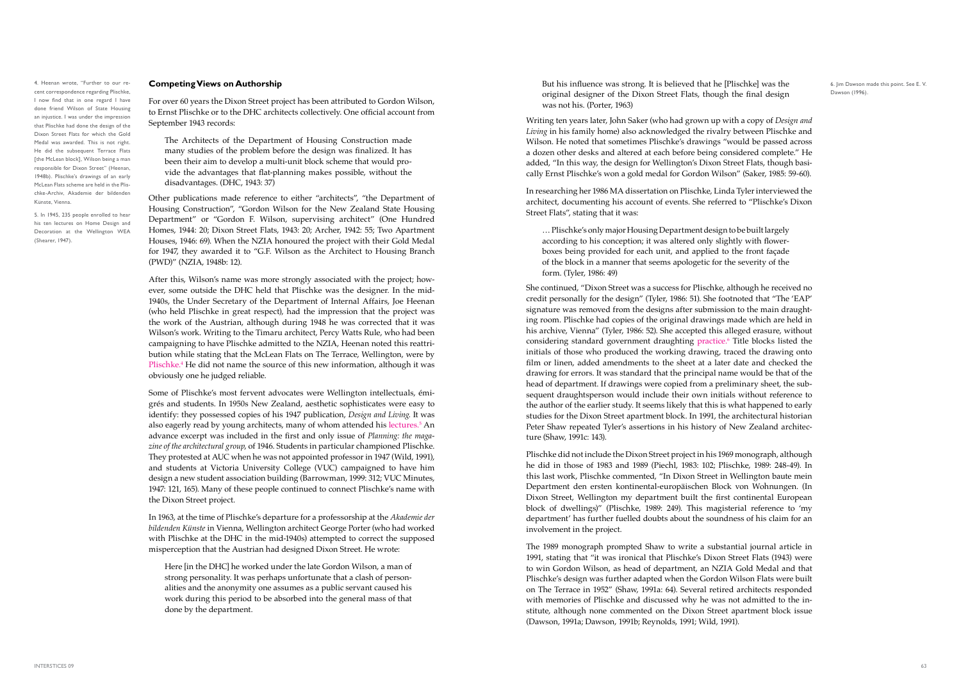But his influence was strong. It is believed that he [Plischke] was the original designer of the Dixon Street Flats, though the final design was not his. (Porter, 1963)

Writing ten years later, John Saker (who had grown up with a copy of *Design and Living* in his family home) also acknowledged the rivalry between Plischke and Wilson. He noted that sometimes Plischke's drawings "would be passed across a dozen other desks and altered at each before being considered complete." He added, "In this way, the design for Wellington's Dixon Street Flats, though basically Ernst Plischke's won a gold medal for Gordon Wilson" (Saker, 1985: 59-60).

In researching her 1986 MA dissertation on Plischke, Linda Tyler interviewed the architect, documenting his account of events. She referred to "Plischke's Dixon Street Flats", stating that it was:

… Plischke's only major Housing Department design to be built largely according to his conception; it was altered only slightly with flowerboxes being provided for each unit, and applied to the front façade of the block in a manner that seems apologetic for the severity of the form. (Tyler, 1986: 49)

She continued, "Dixon Street was a success for Plischke, although he received no credit personally for the design" (Tyler, 1986: 51). She footnoted that "The 'EAP' signature was removed from the designs after submission to the main draughting room. Plischke had copies of the original drawings made which are held in his archive, Vienna" (Tyler, 1986: 52). She accepted this alleged erasure, without considering standard government draughting practice.<sup>6</sup> Title blocks listed the initials of those who produced the working drawing, traced the drawing onto film or linen, added amendments to the sheet at a later date and checked the drawing for errors. It was standard that the principal name would be that of the head of department. If drawings were copied from a preliminary sheet, the subsequent draughtsperson would include their own initials without reference to the author of the earlier study. It seems likely that this is what happened to early studies for the Dixon Street apartment block. In 1991, the architectural historian Peter Shaw repeated Tyler's assertions in his history of New Zealand architecture (Shaw, 1991c: 143).

Plischke did not include the Dixon Street project in his 1969 monograph, although he did in those of 1983 and 1989 (Piechl, 1983: 102; Plischke, 1989: 248-49). In this last work, Plischke commented, "In Dixon Street in Wellington baute mein Department den ersten kontinental-europäischen Block von Wohnungen. (In Dixon Street, Wellington my department built the first continental European block of dwellings)" (Plischke, 1989: 249). This magisterial reference to 'my department' has further fuelled doubts about the soundness of his claim for an involvement in the project.

The 1989 monograph prompted Shaw to write a substantial journal article in 1991, stating that "it was ironical that Plischke's Dixon Street Flats (1943) were to win Gordon Wilson, as head of department, an NZIA Gold Medal and that Plischke's design was further adapted when the Gordon Wilson Flats were built on The Terrace in 1952" (Shaw, 1991a: 64). Several retired architects responded with memories of Plischke and discussed why he was not admitted to the institute, although none commented on the Dixon Street apartment block issue (Dawson, 1991a; Dawson, 1991b; Reynolds, 1991; Wild, 1991).

6. Jim Dawson made this point. See E. V. Dawson (1996).

### **Competing Views on Authorship**

For over 60 years the Dixon Street project has been attributed to Gordon Wilson, to Ernst Plischke or to the DHC architects collectively. One official account from September 1943 records:

The Architects of the Department of Housing Construction made many studies of the problem before the design was finalized. It has been their aim to develop a multi-unit block scheme that would provide the advantages that flat-planning makes possible, without the disadvantages. (DHC, 1943: 37)

Other publications made reference to either "architects", "the Department of Housing Construction", "Gordon Wilson for the New Zealand State Housing Department" or "Gordon F. Wilson, supervising architect" (One Hundred Homes, 1944: 20; Dixon Street Flats, 1943: 20; Archer, 1942: 55; Two Apartment Houses, 1946: 69). When the NZIA honoured the project with their Gold Medal for 1947, they awarded it to "G.F. Wilson as the Architect to Housing Branch (PWD)" (NZIA, 1948b: 12).

After this, Wilson's name was more strongly associated with the project; however, some outside the DHC held that Plischke was the designer. In the mid-1940s, the Under Secretary of the Department of Internal Affairs, Joe Heenan (who held Plischke in great respect), had the impression that the project was the work of the Austrian, although during 1948 he was corrected that it was Wilson's work. Writing to the Timaru architect, Percy Watts Rule, who had been campaigning to have Plischke admitted to the NZIA, Heenan noted this reattribution while stating that the McLean Flats on The Terrace, Wellington, were by Plischke.4 He did not name the source of this new information, although it was obviously one he judged reliable.

Some of Plischke's most fervent advocates were Wellington intellectuals, émigrés and students. In 1950s New Zealand, aesthetic sophisticates were easy to identify: they possessed copies of his 1947 publication, *Design and Living*. It was also eagerly read by young architects, many of whom attended his lectures.<sup>5</sup> An advance excerpt was included in the first and only issue of *Planning: the magazine of the architectural group*, of 1946. Students in particular championed Plischke. They protested at AUC when he was not appointed professor in 1947 (Wild, 1991), and students at Victoria University College (VUC) campaigned to have him design a new student association building (Barrowman, 1999: 312; VUC Minutes, 1947: 121, 165). Many of these people continued to connect Plischke's name with the Dixon Street project.

In 1963, at the time of Plischke's departure for a professorship at the *Akademie der bildenden Künste* in Vienna, Wellington architect George Porter (who had worked with Plischke at the DHC in the mid-1940s) attempted to correct the supposed misperception that the Austrian had designed Dixon Street. He wrote:

Here [in the DHC] he worked under the late Gordon Wilson, a man of strong personality. It was perhaps unfortunate that a clash of personalities and the anonymity one assumes as a public servant caused his work during this period to be absorbed into the general mass of that done by the department.

#### 4. Heenan wrote, "Further to our recent correspondence regarding Plischke, I now find that in one regard I have done friend Wilson of State Housing an injustice. I was under the impression that Plischke had done the design of the Dixon Street Flats for which the Gold Medal was awarded. This is not right. He did the subsequent Terrace Flats [the McLean block], Wilson being a man responsible for Dixon Street" (Heenan, 1948b). Plischke's drawings of an early McLean Flats scheme are held in the Plischke-Archiv, Akademie der bildenden Künste, Vienna.

5. In 1945, 235 people enrolled to hear his ten lectures on Home Design and Decoration at the Wellington WEA (Shearer, 1947).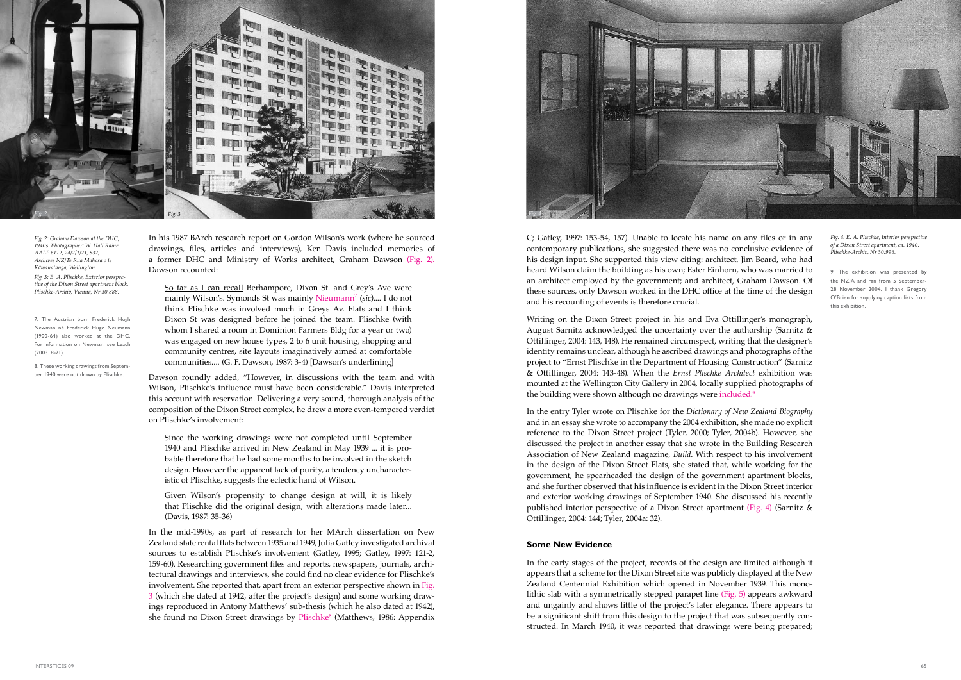Writing on the Dixon Street project in his and Eva Ottillinger's monograph, August Sarnitz acknowledged the uncertainty over the authorship (Sarnitz & Ottillinger, 2004: 143, 148). He remained circumspect, writing that the designer's identity remains unclear, although he ascribed drawings and photographs of the project to "Ernst Plischke in the Department of Housing Construction" (Sarnitz & Ottillinger, 2004: 143-48). When the *Ernst Plischke Architect* exhibition was mounted at the Wellington City Gallery in 2004, locally supplied photographs of the building were shown although no drawings were included.<sup>9</sup>

C; Gatley, 1997: 153-54, 157). Unable to locate his name on any files or in any contemporary publications, she suggested there was no conclusive evidence of his design input. She supported this view citing: architect, Jim Beard, who had heard Wilson claim the building as his own; Ester Einhorn, who was married to an architect employed by the government; and architect, Graham Dawson. Of these sources, only Dawson worked in the DHC office at the time of the design and his recounting of events is therefore crucial.

In the entry Tyler wrote on Plischke for the *Dictionary of New Zealand Biography* and in an essay she wrote to accompany the 2004 exhibition, she made no explicit reference to the Dixon Street project (Tyler, 2000; Tyler, 2004b). However, she discussed the project in another essay that she wrote in the Building Research Association of New Zealand magazine, *Build*. With respect to his involvement in the design of the Dixon Street Flats, she stated that, while working for the government, he spearheaded the design of the government apartment blocks, and she further observed that his influence is evident in the Dixon Street interior and exterior working drawings of September 1940. She discussed his recently published interior perspective of a Dixon Street apartment (Fig. 4) (Sarnitz & Ottillinger, 2004: 144; Tyler, 2004a: 32).

### **Some New Evidence**

In the mid-1990s, as part of research for her MArch dissertation on New Zealand state rental flats between 1935 and 1949, Julia Gatley investigated archival sources to establish Plischke's involvement (Gatley, 1995; Gatley, 1997: 121-2, 159-60). Researching government files and reports, newspapers, journals, architectural drawings and interviews, she could find no clear evidence for Plischke's involvement. She reported that, apart from an exterior perspective shown in Fig. 3 (which she dated at 1942, after the project's design) and some working drawings reproduced in Antony Matthews' sub-thesis (which he also dated at 1942), she found no Dixon Street drawings by Plischke<sup>8</sup> (Matthews, 1986: Appendix

In the early stages of the project, records of the design are limited although it appears that a scheme for the Dixon Street site was publicly displayed at the New Zealand Centennial Exhibition which opened in November 1939. This monolithic slab with a symmetrically stepped parapet line (Fig. 5) appears awkward and ungainly and shows little of the project's later elegance. There appears to be a significant shift from this design to the project that was subsequently constructed. In March 1940, it was reported that drawings were being prepared;

7. The Austrian born Frederick Hugh Newman né Frederick Hugo Neumann (1900-64) also worked at the DHC. For information on Newman, see Leach  $(2003: 8-21)$ 

9. The exhibition was presented by the NZIA and ran from 5 September-28 November 2004. I thank Gregory O'Brien for supplying caption lists from this exhibition.

In his 1987 BArch research report on Gordon Wilson's work (where he sourced drawings, files, articles and interviews), Ken Davis included memories of a former DHC and Ministry of Works architect, Graham Dawson (Fig. 2). Dawson recounted:

So far as I can recall Berhampore, Dixon St. and Grey's Ave were mainly Wilson's. Symonds St was mainly Nieumann<sup>7</sup> (*sic*).... I do not think Plischke was involved much in Greys Av. Flats and I think Dixon St was designed before he joined the team. Plischke (with whom I shared a room in Dominion Farmers Bldg for a year or two) was engaged on new house types, 2 to 6 unit housing, shopping and community centres, site layouts imaginatively aimed at comfortable communities.... (G. F. Dawson, 1987: 3-4) [Dawson's underlining]

Dawson roundly added, "However, in discussions with the team and with Wilson, Plischke's influence must have been considerable." Davis interpreted this account with reservation. Delivering a very sound, thorough analysis of the composition of the Dixon Street complex, he drew a more even-tempered verdict on Plischke's involvement:

Since the working drawings were not completed until September 1940 and Plischke arrived in New Zealand in May 1939 ... it is probable therefore that he had some months to be involved in the sketch design. However the apparent lack of purity, a tendency uncharacteristic of Plischke, suggests the eclectic hand of Wilson.

Given Wilson's propensity to change design at will, it is likely that Plischke did the original design, with alterations made later... (Davis, 1987: 35-36)

8. These working drawings from September 1940 were not drawn by Plischke.



*Fig. 2: Graham Dawson at the DHC, 1940s. Photographer: W. Hall Raine. AALF 6112, 24/2/1/21, 832, Archives NZ/Te Rua Mahara o te Kāwanatanga, Wellington. Fig. 3: E. A. Plischke, Exterior perspective of the Dixon Street apartment block. Plischke-Archiv, Vienna, Nr 30.888.*



*Fig. 4: E. A. Plischke, Interior perspective of a Dixon Street apartment, ca. 1940. Plischke-Archiv, Nr 30.996.*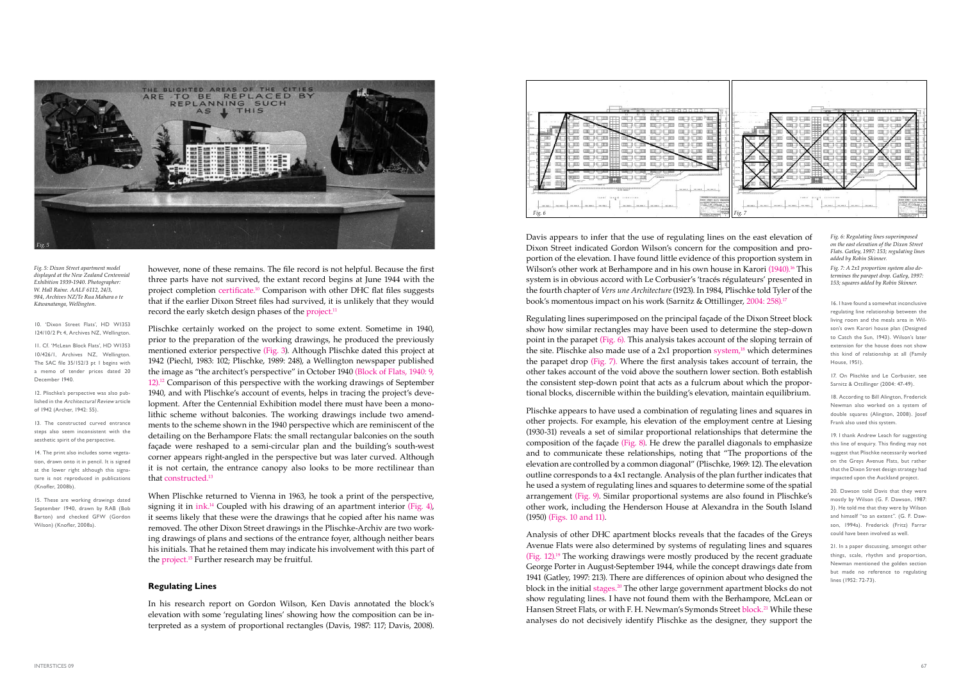Regulating lines superimposed on the principal façade of the Dixon Street block show how similar rectangles may have been used to determine the step-down point in the parapet (Fig. 6). This analysis takes account of the sloping terrain of the site. Plischke also made use of a  $2x1$  proportion system,<sup>18</sup> which determines the parapet drop (Fig. 7). Where the first analysis takes account of terrain, the other takes account of the void above the southern lower section. Both establish the consistent step-down point that acts as a fulcrum about which the proportional blocks, discernible within the building's elevation, maintain equilibrium.

Plischke certainly worked on the project to some extent. Sometime in 1940, prior to the preparation of the working drawings, he produced the previously mentioned exterior perspective (Fig. 3). Although Plischke dated this project at 1942 (Piechl, 1983: 102; Plischke, 1989: 248), a Wellington newspaper published the image as "the architect's perspective" in October 1940 (Block of Flats, 1940: 9, 12).12 Comparison of this perspective with the working drawings of September 1940, and with Plischke's account of events, helps in tracing the project's development. After the Centennial Exhibition model there must have been a monolithic scheme without balconies. The working drawings include two amendments to the scheme shown in the 1940 perspective which are reminiscent of the detailing on the Berhampore Flats: the small rectangular balconies on the south façade were reshaped to a semi-circular plan and the building's south-west corner appears right-angled in the perspective but was later curved. Although it is not certain, the entrance canopy also looks to be more rectilinear than that constructed.<sup>13</sup>

Plischke appears to have used a combination of regulating lines and squares in other projects. For example, his elevation of the employment centre at Liesing (1930-31) reveals a set of similar proportional relationships that determine the composition of the façade (Fig. 8). He drew the parallel diagonals to emphasize and to communicate these relationships, noting that "The proportions of the elevation are controlled by a common diagonal" (Plischke, 1969: 12). The elevation outline corresponds to a 4x1 rectangle. Analysis of the plan further indicates that he used a system of regulating lines and squares to determine some of the spatial arrangement (Fig. 9). Similar proportional systems are also found in Plischke's other work, including the Henderson House at Alexandra in the South Island (1950) (Figs. 10 and 11).

Analysis of other DHC apartment blocks reveals that the facades of the Greys Avenue Flats were also determined by systems of regulating lines and squares (Fig. 12).<sup>19</sup> The working drawings were mostly produced by the recent graduate George Porter in August-September 1944, while the concept drawings date from 1941 (Gatley, 1997: 213). There are differences of opinion about who designed the block in the initial stages.20 The other large government apartment blocks do not show regulating lines. I have not found them with the Berhampore, McLean or Hansen Street Flats, or with F. H. Newman's Symonds Street block.<sup>21</sup> While these analyses do not decisively identify Plischke as the designer, they support the 19. I thank Andrew Leach for suggesting this line of enquiry. This finding may not suggest that Plischke necessarily worked on the Greys Avenue Flats, but rather that the Dixon Street design strategy had impacted upon the Auckland project.



Davis appears to infer that the use of regulating lines on the east elevation of Dixon Street indicated Gordon Wilson's concern for the composition and proportion of the elevation. I have found little evidence of this proportion system in Wilson's other work at Berhampore and in his own house in Karori (1940).<sup>16</sup> This system is in obvious accord with Le Corbusier's 'tracés régulateurs' presented in the fourth chapter of *Vers une Architecture* (1923). In 1984, Plischke told Tyler of the book's momentous impact on his work (Sarnitz & Ottillinger, 2004: 258).<sup>17</sup>

however, none of these remains. The file record is not helpful. Because the first three parts have not survived, the extant record begins at June 1944 with the project completion certificate.<sup>10</sup> Comparison with other DHC flat files suggests that if the earlier Dixon Street files had survived, it is unlikely that they would *Fig. 5* record the early sketch design phases of the project.<sup>11</sup> *Kāwanatanga, Wellington.* 16. I have found a somewhat inconclusive

> When Plischke returned to Vienna in 1963, he took a print of the perspective, signing it in ink.<sup>14</sup> Coupled with his drawing of an apartment interior (Fig. 4), it seems likely that these were the drawings that he copied after his name was removed. The other Dixon Street drawings in the Plischke-Archiv are two working drawings of plans and sections of the entrance foyer, although neither bears his initials. That he retained them may indicate his involvement with this part of the project.15 Further research may be fruitful.

### **Regulating Lines**

In his research report on Gordon Wilson, Ken Davis annotated the block's elevation with some 'regulating lines' showing how the composition can be interpreted as a system of proportional rectangles (Davis, 1987: 117; Davis, 2008).

10. 'Dixon Street Flats', HD W1353 124/10/2 Pt 4, Archives NZ, Wellington.

11. Cf. 'McLean Block Flats', HD W1353 10/426/1, Archives NZ, Wellington. The SAC file 35/152/3 pt 1 begins with a memo of tender prices dated 20 December 1940.

12. Plischke's perspective was also published in the Architectural Review article of 1942 (Archer, 1942: 55).

13. The constructed curved entrance steps also seem inconsistent with the aesthetic spirit of the perspective.

14. The print also includes some vegetation, drawn onto it in pencil. It is signed at the lower right although this signature is not reproduced in publications (Knofler, 2008b).

15. These are working drawings dated September 1940, drawn by RAB (Bob Barton) and checked GFW (Gordon Wilson) (Knofler, 2008a).

*Fig. 5: Dixon Street apartment model displayed at the New Zealand Centennial Exhibition 1939-1940. Photographer: W. Hall Raine. AALF 6112, 24/3, 984, Archives NZ/Te Rua Mahara o te* 

regulating line relationship between the living room and the meals area in Wilson's own Karori house plan (Designed to Catch the Sun, 1943). Wilson's later extension for the house does not show this kind of relationship at all (Family House, 1951).

17. On Plischke and Le Corbusier, see Sarnitz & Ottillinger (2004: 47-49).

18. According to Bill Alington, Frederick Newman also worked on a system of double squares (Alington, 2008). Josef Frank also used this system.

20. Dawson told Davis that they were mostly by Wilson (G. F. Dawson, 1987; 3). He told me that they were by Wilson and himself "to an extent". (G. F. Dawson, 1994a). Frederick (Fritz) Farrar could have been involved as well.

21. In a paper discussing, amongst other things, scale, rhythm and proportion, Newman mentioned the golden section but made no reference to regulating lines (1952: 72-73).

*Fig. 6: Regulating lines superimposed on the east elevation of the Dixon Street Flats. Gatley, 1997: 153; regulating lines added by Robin Skinner.*

*Fig. 7: A 2x1 proportion system also determines the parapet drop. Gatley, 1997: 153; squares added by Robin Skinner.* 

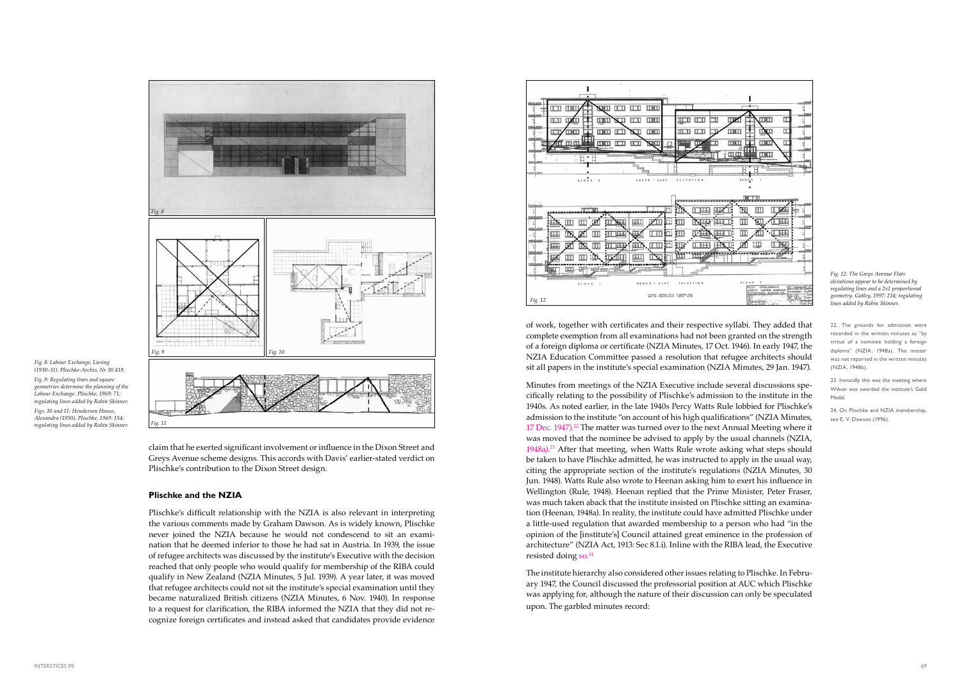Minutes from meetings of the NZIA Executive include several discussions specifically relating to the possibility of Plischke's admission to the institute in the 1940s. As noted earlier, in the late 1940s Percy Watts Rule lobbied for Plischke's admission to the institute "on account of his high qualifications" (NZIA Minutes, 17 Dec. 1947).<sup>22</sup> The matter was turned over to the next Annual Meeting where it was moved that the nominee be advised to apply by the usual channels (NZIA, 1948a).<sup>23</sup> After that meeting, when Watts Rule wrote asking what steps should be taken to have Plischke admitted, he was instructed to apply in the usual way, citing the appropriate section of the institute's regulations (NZIA Minutes, 30 Jun. 1948). Watts Rule also wrote to Heenan asking him to exert his influence in Wellington (Rule, 1948). Heenan replied that the Prime Minister, Peter Fraser, was much taken aback that the institute insisted on Plischke sitting an examination (Heenan, 1948a). In reality, the institute could have admitted Plischke under a little-used regulation that awarded membership to a person who had "in the opinion of the [institute's] Council attained great eminence in the profession of architecture" (NZIA Act, 1913: Sec 8.1.i). Inline with the RIBA lead, the Executive resisted doing so.<sup>24</sup>

of work, together with certificates and their respective syllabi. They added that complete exemption from all examinations had not been granted on the strength of a foreign diploma or certificate (NZIA Minutes, 17 Oct. 1946). In early 1947, the NZIA Education Committee passed a resolution that refugee architects should sit all papers in the institute's special examination (NZIA Minutes, 29 Jan. 1947).

The institute hierarchy also considered other issues relating to Plischke. In February 1947, the Council discussed the professorial position at AUC which Plischke was applying for, although the nature of their discussion can only be speculated upon. The garbled minutes record:

22. The grounds for admission were recorded in the written minutes as "by virtue of a nominee holding a foreign diploma" (NZIA, 1948a). The matter was not reported in the written minutes (NZIA, 1948b).

23. Ironically this was the meeting where Wilson was awarded the institute's Gold Medal.

claim that he exerted significant involvement or influence in the Dixon Street and Greys Avenue scheme designs. This accords with Davis' earlier-stated verdict on Plischke's contribution to the Dixon Street design.

#### **Plischke and the NZIA**

Plischke's difficult relationship with the NZIA is also relevant in interpreting the various comments made by Graham Dawson. As is widely known, Plischke never joined the NZIA because he would not condescend to sit an examination that he deemed inferior to those he had sat in Austria. In 1939, the issue of refugee architects was discussed by the institute's Executive with the decision reached that only people who would qualify for membership of the RIBA could qualify in New Zealand (NZIA Minutes, 5 Jul. 1939). A year later, it was moved that refugee architects could not sit the institute's special examination until they became naturalized British citizens (NZIA Minutes, 6 Nov. 1940). In response to a request for clarification, the RIBA informed the NZIA that they did not recognize foreign certificates and instead asked that candidates provide evidence

*Fig. 12: The Greys Avenue Flats elevations appear to be determined by regulating lines and a 2x1 proportional geometry. Gatley, 1997: 214; regulating lines added by Robin Skinner.*



*Fig. 8: Labour Exchange, Liesing* 

*(1930-31). Plischke-Archiv, Nr 30.419. Fig. 9: Regulating lines and square geometries determine the planning of the Labour Exchange. Plischke, 1969: 71; regulating lines added by Robin Skinner. Figs. 10 and 11: Henderson House, Alexandra (1950). Plischke, 1969: 154; regulating lines added by Robin Skinner.*



24. On Plischke and NZIA membership, see E. V. Dawson (1996).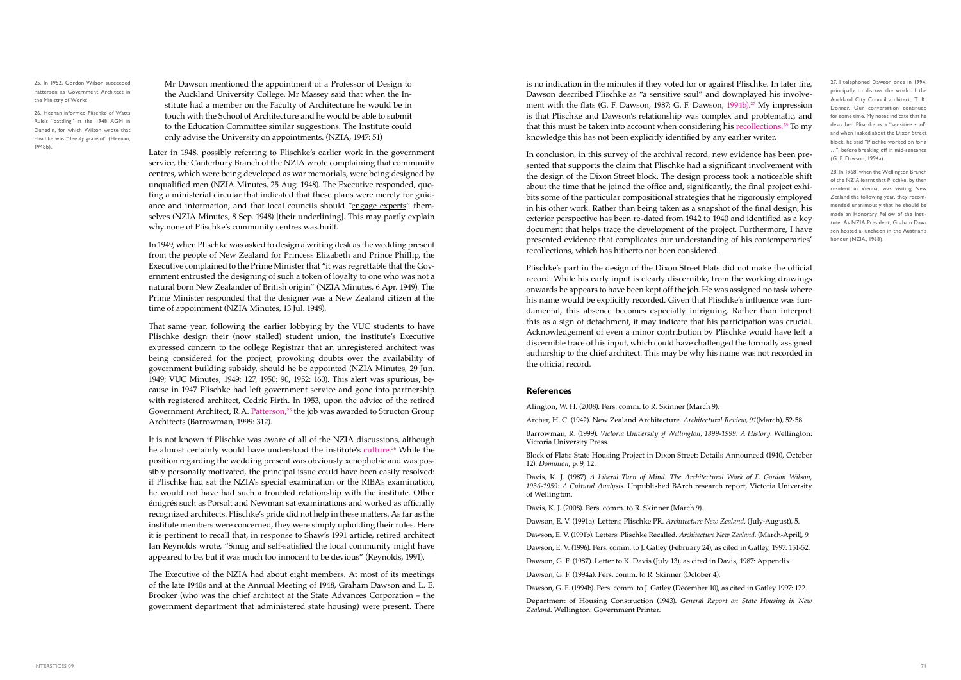is no indication in the minutes if they voted for or against Plischke. In later life, Dawson described Plischke as "a sensitive soul" and downplayed his involvement with the flats (G. F. Dawson, 1987; G. F. Dawson, 1994b).<sup>27</sup> My impression is that Plischke and Dawson's relationship was complex and problematic, and that this must be taken into account when considering his recollections.<sup>28</sup> To my knowledge this has not been explicitly identified by any earlier writer.

In conclusion, in this survey of the archival record, new evidence has been presented that supports the claim that Plischke had a significant involvement with the design of the Dixon Street block. The design process took a noticeable shift about the time that he joined the office and, significantly, the final project exhibits some of the particular compositional strategies that he rigorously employed in his other work. Rather than being taken as a snapshot of the final design, his exterior perspective has been re-dated from 1942 to 1940 and identified as a key document that helps trace the development of the project. Furthermore, I have presented evidence that complicates our understanding of his contemporaries' recollections, which has hitherto not been considered.

Plischke's part in the design of the Dixon Street Flats did not make the official record. While his early input is clearly discernible, from the working drawings onwards he appears to have been kept off the job. He was assigned no task where his name would be explicitly recorded. Given that Plischke's influence was fundamental, this absence becomes especially intriguing. Rather than interpret this as a sign of detachment, it may indicate that his participation was crucial. Acknowledgement of even a minor contribution by Plischke would have left a discernible trace of his input, which could have challenged the formally assigned authorship to the chief architect. This may be why his name was not recorded in the official record.

#### **References**

Alington, W. H. (2008). Pers. comm. to R. Skinner (March 9).

Archer, H. C. (1942). New Zealand Architecture. *Architectural Review*, *91*(March), 52-58.

Barrowman, R. (1999). *Victoria University of Wellington, 1899-1999: A History*. Wellington: Victoria University Press.

Block of Flats: State Housing Project in Dixon Street: Details Announced (1940, October 12). *Dominion*, p. 9, 12.

Davis, K. J. (1987) *A Liberal Turn of Mind: The Architectural Work of F. Gordon Wilson, 1936-1959: A Cultural Analysis.* Unpublished BArch research report, Victoria University of Wellington.

Davis, K. J. (2008). Pers. comm. to R. Skinner (March 9).

Dawson, E. V. (1991a). Letters: Plischke PR. *Architecture New Zealand,* (July-August), 5.

Dawson, E. V. (1991b). Letters: Plischke Recalled. *Architecture New Zealand,* (March-April), 9.

Dawson, E. V. (1996). Pers. comm. to J. Gatley (February 24), as cited in Gatley, 1997: 151-52. Dawson, G. F. (1987). Letter to K. Davis (July 13), as cited in Davis, 1987: Appendix.

Dawson, G. F. (1994a). Pers. comm. to R. Skinner (October 4).

Dawson, G. F. (1994b). Pers. comm. to J. Gatley (December 10), as cited in Gatley 1997: 122.

Department of Housing Construction (1943). *General Report on State Housing in New Zealand*. Wellington: Government Printer.

Mr Dawson mentioned the appointment of a Professor of Design to the Auckland University College. Mr Massey said that when the Institute had a member on the Faculty of Architecture he would be in touch with the School of Architecture and he would be able to submit to the Education Committee similar suggestions. The Institute could only advise the University on appointments. (NZIA, 1947: 51)

26. Heenan informed Plischke of Watts Rule's "battling" at the 1948 AGM in Dunedin, for which Wilson wrote that Plischke was "deeply grateful" (Heenan, 1948b).

27. I telephoned Dawson once in 1994, principally to discuss the work of the Auckland City Council architect, T. K. Donner. Our conversation continued for some time. My notes indicate that he described Plischke as a "sensitive soul" and when I asked about the Dixon Street block, he said "Plischke worked on for a …", before breaking off in mid-sentence (G. F. Dawson, 1994a).

Later in 1948, possibly referring to Plischke's earlier work in the government service, the Canterbury Branch of the NZIA wrote complaining that community centres, which were being developed as war memorials, were being designed by unqualified men (NZIA Minutes, 25 Aug. 1948). The Executive responded, quoting a ministerial circular that indicated that these plans were merely for guidance and information, and that local councils should "engage experts" themselves (NZIA Minutes, 8 Sep. 1948) [their underlining]. This may partly explain why none of Plischke's community centres was built.

In 1949, when Plischke was asked to design a writing desk as the wedding present from the people of New Zealand for Princess Elizabeth and Prince Phillip, the Executive complained to the Prime Minister that "it was regrettable that the Government entrusted the designing of such a token of loyalty to one who was not a natural born New Zealander of British origin" (NZIA Minutes, 6 Apr. 1949). The Prime Minister responded that the designer was a New Zealand citizen at the time of appointment (NZIA Minutes, 13 Jul. 1949).

That same year, following the earlier lobbying by the VUC students to have Plischke design their (now stalled) student union, the institute's Executive expressed concern to the college Registrar that an unregistered architect was being considered for the project, provoking doubts over the availability of government building subsidy, should he be appointed (NZIA Minutes, 29 Jun. 1949; VUC Minutes, 1949: 127, 1950: 90, 1952: 160). This alert was spurious, because in 1947 Plischke had left government service and gone into partnership with registered architect, Cedric Firth. In 1953, upon the advice of the retired Government Architect, R.A. Patterson, $25$  the job was awarded to Structon Group Architects (Barrowman, 1999: 312).

It is not known if Plischke was aware of all of the NZIA discussions, although he almost certainly would have understood the institute's culture.<sup>26</sup> While the position regarding the wedding present was obviously xenophobic and was possibly personally motivated, the principal issue could have been easily resolved: if Plischke had sat the NZIA's special examination or the RIBA's examination, he would not have had such a troubled relationship with the institute. Other émigrés such as Porsolt and Newman sat examinations and worked as officially recognized architects. Plischke's pride did not help in these matters. As far as the institute members were concerned, they were simply upholding their rules. Here it is pertinent to recall that, in response to Shaw's 1991 article, retired architect Ian Reynolds wrote, "Smug and self-satisfied the local community might have appeared to be, but it was much too innocent to be devious" (Reynolds, 1991).

The Executive of the NZIA had about eight members. At most of its meetings of the late 1940s and at the Annual Meeting of 1948, Graham Dawson and L. E. Brooker (who was the chief architect at the State Advances Corporation – the government department that administered state housing) were present. There

25. In 1952, Gordon Wilson succeeded Patterson as Government Architect in the Ministry of Works.

> 28. In 1968, when the Wellington Branch of the NZIA learnt that Plischke, by then resident in Vienna, was visiting New Zealand the following year, they recommended unanimously that he should be made an Honorary Fellow of the Institute. As NZIA President, Graham Dawson hosted a luncheon in the Austrian's honour (NZIA, 1968).